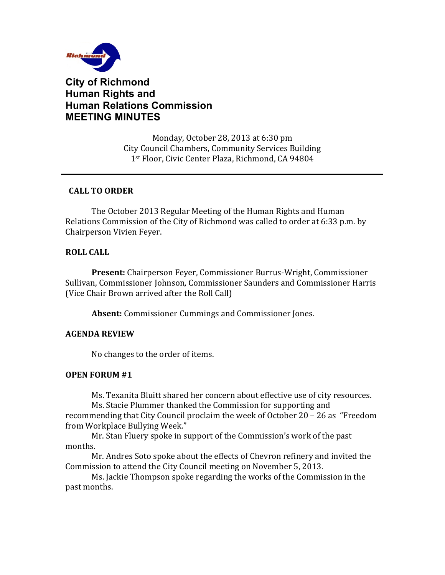

# **City of Richmond Human Rights and Human Relations Commission MEETING MINUTES**

Monday, October 28, 2013 at 6:30 pm City Council Chambers, Community Services Building 1st Floor, Civic Center Plaza, Richmond, CA 94804

#### **CALL TO ORDER**

The October 2013 Regular Meeting of the Human Rights and Human Relations Commission of the City of Richmond was called to order at 6:33 p.m. by Chairperson Vivien Feyer.

### **ROLL CALL**

**Present:** Chairperson Feyer, Commissioner Burrus-Wright, Commissioner Sullivan, Commissioner Johnson, Commissioner Saunders and Commissioner Harris (Vice Chair Brown arrived after the Roll Call)

**Absent:** Commissioner Cummings and Commissioner Jones.

### **AGENDA REVIEW**

No changes to the order of items.

#### **OPEN FORUM #1**

Ms. Texanita Bluitt shared her concern about effective use of city resources.

Ms. Stacie Plummer thanked the Commission for supporting and recommending that City Council proclaim the week of October  $20 - 26$  as "Freedom from Workplace Bullying Week."

Mr. Stan Fluery spoke in support of the Commission's work of the past months. 

Mr. Andres Soto spoke about the effects of Chevron refinery and invited the Commission to attend the City Council meeting on November 5, 2013.

Ms. Jackie Thompson spoke regarding the works of the Commission in the past months.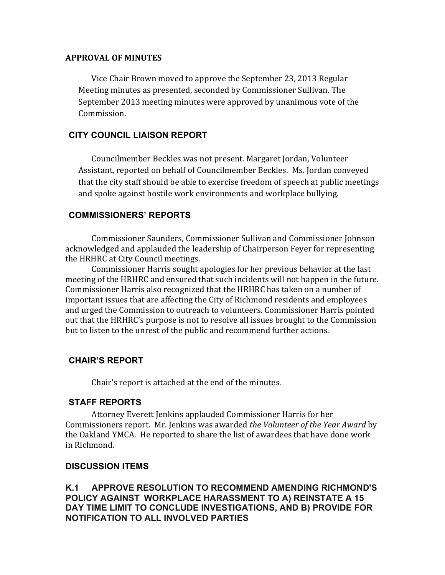#### **APPROVAL OF MINUTES**

Vice Chair Brown moved to approve the September 23, 2013 Regular Meeting minutes as presented, seconded by Commissioner Sullivan. The September 2013 meeting minutes were approved by unanimous vote of the Commission. 

### **CITY COUNCIL LIAISON REPORT**

Councilmember Beckles was not present. Margaret Jordan, Volunteer Assistant, reported on behalf of Councilmember Beckles. Ms. Jordan conveyed that the city staff should be able to exercise freedom of speech at public meetings and spoke against hostile work environments and workplace bullying.

### **COMMISSIONERS' REPORTS**

Commissioner Saunders, Commissioner Sullivan and Commissioner Johnson acknowledged and applauded the leadership of Chairperson Feyer for representing the HRHRC at City Council meetings.

Commissioner Harris sought apologies for her previous behavior at the last meeting of the HRHRC and ensured that such incidents will not happen in the future. Commissioner Harris also recognized that the HRHRC has taken on a number of important issues that are affecting the City of Richmond residents and employees and urged the Commission to outreach to volunteers. Commissioner Harris pointed out that the HRHRC's purpose is not to resolve all issues brought to the Commission but to listen to the unrest of the public and recommend further actions.

### **CHAIR'S REPORT**

Chair's report is attached at the end of the minutes.

### **STAFF REPORTS**

Attorney Everett Jenkins applauded Commissioner Harris for her Commissioners report. Mr. Jenkins was awarded *the Volunteer of the Year Award* by the Oakland YMCA. He reported to share the list of awardees that have done work in Richmond. 

### **DISCUSSION ITEMS**

**K.1 APPROVE RESOLUTION TO RECOMMEND AMENDING RICHMOND'S POLICY AGAINST WORKPLACE HARASSMENT TO A) REINSTATE A 15 DAY TIME LIMIT TO CONCLUDE INVESTIGATIONS, AND B) PROVIDE FOR NOTIFICATION TO ALL INVOLVED PARTIES**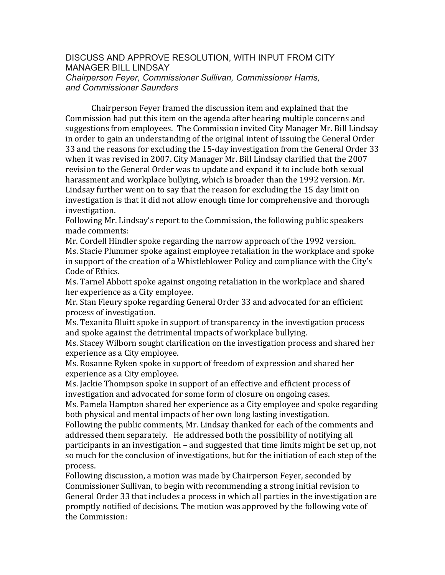#### DISCUSS AND APPROVE RESOLUTION, WITH INPUT FROM CITY MANAGER BILL LINDSAY *Chairperson Feyer, Commissioner Sullivan, Commissioner Harris, and Commissioner Saunders*

Chairperson Feyer framed the discussion item and explained that the Commission had put this item on the agenda after hearing multiple concerns and suggestions from employees. The Commission invited City Manager Mr. Bill Lindsay in order to gain an understanding of the original intent of issuing the General Order 33 and the reasons for excluding the 15-day investigation from the General Order 33 when it was revised in 2007. City Manager Mr. Bill Lindsay clarified that the 2007 revision to the General Order was to update and expand it to include both sexual harassment and workplace bullying, which is broader than the 1992 version. Mr. Lindsay further went on to say that the reason for excluding the 15 day limit on investigation is that it did not allow enough time for comprehensive and thorough investigation. 

Following Mr. Lindsay's report to the Commission, the following public speakers made comments:

Mr. Cordell Hindler spoke regarding the narrow approach of the 1992 version. Ms. Stacie Plummer spoke against employee retaliation in the workplace and spoke in support of the creation of a Whistleblower Policy and compliance with the City's Code of Ethics.

Ms. Tarnel Abbott spoke against ongoing retaliation in the workplace and shared her experience as a City employee.

Mr. Stan Fleury spoke regarding General Order 33 and advocated for an efficient process of investigation.

Ms. Texanita Bluitt spoke in support of transparency in the investigation process and spoke against the detrimental impacts of workplace bullying.

Ms. Stacey Wilborn sought clarification on the investigation process and shared her experience as a City employee.

Ms. Rosanne Ryken spoke in support of freedom of expression and shared her experience as a City employee.

Ms. Jackie Thompson spoke in support of an effective and efficient process of investigation and advocated for some form of closure on ongoing cases.

Ms. Pamela Hampton shared her experience as a City employee and spoke regarding both physical and mental impacts of her own long lasting investigation.

Following the public comments, Mr. Lindsay thanked for each of the comments and addressed them separately. He addressed both the possibility of notifying all participants in an investigation – and suggested that time limits might be set up, not so much for the conclusion of investigations, but for the initiation of each step of the process. 

Following discussion, a motion was made by Chairperson Feyer, seconded by Commissioner Sullivan, to begin with recommending a strong initial revision to General Order 33 that includes a process in which all parties in the investigation are promptly notified of decisions. The motion was approved by the following vote of the Commission: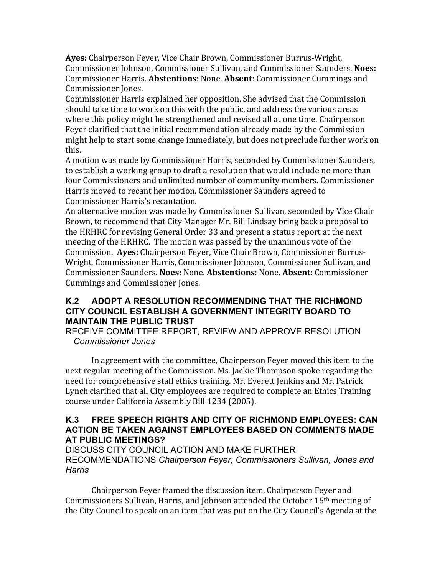Ayes: Chairperson Feyer, Vice Chair Brown, Commissioner Burrus-Wright, Commissioner Johnson, Commissioner Sullivan, and Commissioner Saunders. Noes: Commissioner Harris. **Abstentions**: None. **Absent**: Commissioner Cummings and Commissioner Jones. 

Commissioner Harris explained her opposition. She advised that the Commission should take time to work on this with the public, and address the various areas where this policy might be strengthened and revised all at one time. Chairperson Feyer clarified that the initial recommendation already made by the Commission might help to start some change immediately, but does not preclude further work on this.

A motion was made by Commissioner Harris, seconded by Commissioner Saunders, to establish a working group to draft a resolution that would include no more than four Commissioners and unlimited number of community members. Commissioner Harris moved to recant her motion. Commissioner Saunders agreed to Commissioner Harris's recantation.

An alternative motion was made by Commissioner Sullivan, seconded by Vice Chair Brown, to recommend that City Manager Mr. Bill Lindsay bring back a proposal to the HRHRC for revising General Order 33 and present a status report at the next meeting of the HRHRC. The motion was passed by the unanimous vote of the Commission. Aves: Chairperson Fever, Vice Chair Brown, Commissioner Burrus-Wright, Commissioner Harris, Commissioner Johnson, Commissioner Sullivan, and Commissioner Saunders. **Noes:** None. **Abstentions**: None. **Absent**: Commissioner Cummings and Commissioner Jones.

### **K.2 ADOPT A RESOLUTION RECOMMENDING THAT THE RICHMOND CITY COUNCIL ESTABLISH A GOVERNMENT INTEGRITY BOARD TO MAINTAIN THE PUBLIC TRUST**

RECEIVE COMMITTEE REPORT, REVIEW AND APPROVE RESOLUTION *Commissioner Jones*

In agreement with the committee, Chairperson Feyer moved this item to the next regular meeting of the Commission. Ms. Jackie Thompson spoke regarding the need for comprehensive staff ethics training. Mr. Everett Jenkins and Mr. Patrick Lynch clarified that all City employees are required to complete an Ethics Training course under California Assembly Bill 1234 (2005).

### **K.3 FREE SPEECH RIGHTS AND CITY OF RICHMOND EMPLOYEES: CAN ACTION BE TAKEN AGAINST EMPLOYEES BASED ON COMMENTS MADE AT PUBLIC MEETINGS?**

DISCUSS CITY COUNCIL ACTION AND MAKE FURTHER RECOMMENDATIONS *Chairperson Feyer, Commissioners Sullivan, Jones and Harris*

Chairperson Feyer framed the discussion item. Chairperson Feyer and Commissioners Sullivan, Harris, and Johnson attended the October  $15<sup>th</sup>$  meeting of the City Council to speak on an item that was put on the City Council's Agenda at the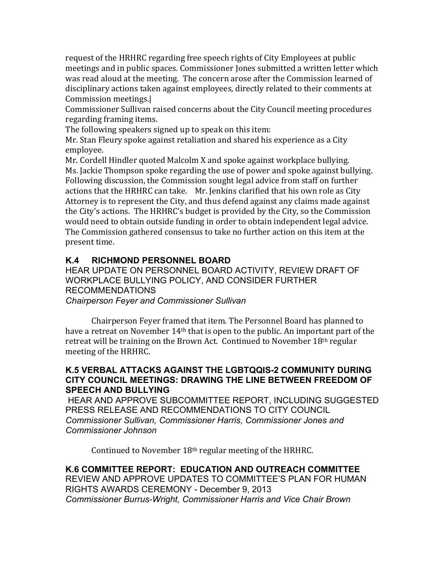request of the HRHRC regarding free speech rights of City Employees at public meetings and in public spaces. Commissioner Jones submitted a written letter which was read aloud at the meeting. The concern arose after the Commission learned of disciplinary actions taken against employees, directly related to their comments at Commission meetings.

Commissioner Sullivan raised concerns about the City Council meeting procedures regarding framing items.

The following speakers signed up to speak on this item:

Mr. Stan Fleury spoke against retaliation and shared his experience as a City employee. 

Mr. Cordell Hindler quoted Malcolm X and spoke against workplace bullying. Ms. Jackie Thompson spoke regarding the use of power and spoke against bullying. Following discussion, the Commission sought legal advice from staff on further actions that the HRHRC can take. Mr. Jenkins clarified that his own role as City Attorney is to represent the City, and thus defend against any claims made against the City's actions. The HRHRC's budget is provided by the City, so the Commission would need to obtain outside funding in order to obtain independent legal advice. The Commission gathered consensus to take no further action on this item at the present time.

# **K.4 RICHMOND PERSONNEL BOARD**

HEAR UPDATE ON PERSONNEL BOARD ACTIVITY, REVIEW DRAFT OF WORKPLACE BULLYING POLICY, AND CONSIDER FURTHER RECOMMENDATIONS *Chairperson Feyer and Commissioner Sullivan* 

Chairperson Feyer framed that item. The Personnel Board has planned to have a retreat on November  $14<sup>th</sup>$  that is open to the public. An important part of the retreat will be training on the Brown Act. Continued to November  $18<sup>th</sup>$  regular meeting of the HRHRC.

### **K.5 VERBAL ATTACKS AGAINST THE LGBTQQIS-2 COMMUNITY DURING CITY COUNCIL MEETINGS: DRAWING THE LINE BETWEEN FREEDOM OF SPEECH AND BULLYING**

HEAR AND APPROVE SUBCOMMITTEE REPORT, INCLUDING SUGGESTED PRESS RELEASE AND RECOMMENDATIONS TO CITY COUNCIL *Commissioner Sullivan, Commissioner Harris, Commissioner Jones and Commissioner Johnson* 

Continued to November  $18<sup>th</sup>$  regular meeting of the HRHRC.

**K.6 COMMITTEE REPORT: EDUCATION AND OUTREACH COMMITTEE**  REVIEW AND APPROVE UPDATES TO COMMITTEE'S PLAN FOR HUMAN RIGHTS AWARDS CEREMONY - December 9, 2013 *Commissioner Burrus-Wright, Commissioner Harris and Vice Chair Brown*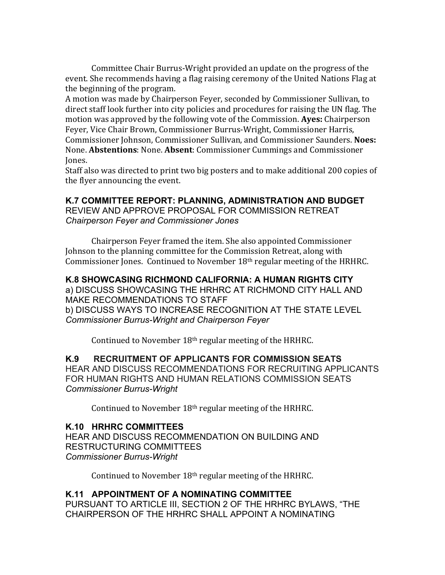Committee Chair Burrus-Wright provided an update on the progress of the event. She recommends having a flag raising ceremony of the United Nations Flag at the beginning of the program.

A motion was made by Chairperson Feyer, seconded by Commissioner Sullivan, to direct staff look further into city policies and procedures for raising the UN flag. The motion was approved by the following vote of the Commission. Ayes: Chairperson Feyer, Vice Chair Brown, Commissioner Burrus-Wright, Commissioner Harris, Commissioner Johnson, Commissioner Sullivan, and Commissioner Saunders. Noes: None. **Abstentions**: None. **Absent**: Commissioner Cummings and Commissioner Jones. 

Staff also was directed to print two big posters and to make additional 200 copies of the flyer announcing the event.

## **K.7 COMMITTEE REPORT: PLANNING, ADMINISTRATION AND BUDGET**  REVIEW AND APPROVE PROPOSAL FOR COMMISSION RETREAT

*Chairperson Feyer and Commissioner Jones*

Chairperson Feyer framed the item. She also appointed Commissioner Johnson to the planning committee for the Commission Retreat, along with Commissioner Jones. Continued to November  $18<sup>th</sup>$  regular meeting of the HRHRC.

#### **K.8 SHOWCASING RICHMOND CALIFORNIA: A HUMAN RIGHTS CITY**  a) DISCUSS SHOWCASING THE HRHRC AT RICHMOND CITY HALL AND MAKE RECOMMENDATIONS TO STAFF b) DISCUSS WAYS TO INCREASE RECOGNITION AT THE STATE LEVEL *Commissioner Burrus-Wright and Chairperson Feyer*

Continued to November  $18<sup>th</sup>$  regular meeting of the HRHRC.

**K.9 RECRUITMENT OF APPLICANTS FOR COMMISSION SEATS** HEAR AND DISCUSS RECOMMENDATIONS FOR RECRUITING APPLICANTS FOR HUMAN RIGHTS AND HUMAN RELATIONS COMMISSION SEATS *Commissioner Burrus-Wright*

Continued to November  $18<sup>th</sup>$  regular meeting of the HRHRC.

### **K.10 HRHRC COMMITTEES**

HEAR AND DISCUSS RECOMMENDATION ON BUILDING AND RESTRUCTURING COMMITTEES *Commissioner Burrus-Wright*

Continued to November  $18<sup>th</sup>$  regular meeting of the HRHRC.

# **K.11 APPOINTMENT OF A NOMINATING COMMITTEE**

PURSUANT TO ARTICLE III, SECTION 2 OF THE HRHRC BYLAWS, "THE CHAIRPERSON OF THE HRHRC SHALL APPOINT A NOMINATING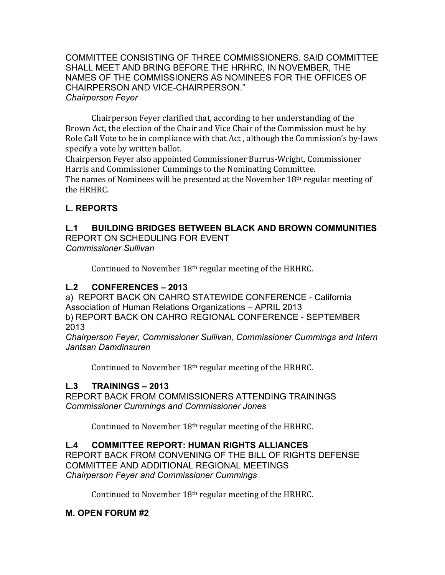COMMITTEE CONSISTING OF THREE COMMISSIONERS. SAID COMMITTEE SHALL MEET AND BRING BEFORE THE HRHRC, IN NOVEMBER, THE NAMES OF THE COMMISSIONERS AS NOMINEES FOR THE OFFICES OF CHAIRPERSON AND VICE-CHAIRPERSON." *Chairperson Feyer*

Chairperson Feyer clarified that, according to her understanding of the Brown Act, the election of the Chair and Vice Chair of the Commission must be by Role Call Vote to be in compliance with that Act, although the Commission's by-laws specify a vote by written ballot.

Chairperson Feyer also appointed Commissioner Burrus-Wright, Commissioner Harris and Commissioner Cummings to the Nominating Committee.

The names of Nominees will be presented at the November  $18<sup>th</sup>$  regular meeting of the HRHRC.

# **L. REPORTS**

# **L.1 BUILDING BRIDGES BETWEEN BLACK AND BROWN COMMUNITIES**

REPORT ON SCHEDULING FOR EVENT *Commissioner Sullivan* 

Continued to November  $18<sup>th</sup>$  regular meeting of the HRHRC.

## **L.2 CONFERENCES – 2013**

a) REPORT BACK ON CAHRO STATEWIDE CONFERENCE - California Association of Human Relations Organizations – APRIL 2013 b) REPORT BACK ON CAHRO REGIONAL CONFERENCE - SEPTEMBER 2013

*Chairperson Feyer, Commissioner Sullivan, Commissioner Cummings and Intern Jantsan Damdinsuren*

Continued to November  $18<sup>th</sup>$  regular meeting of the HRHRC.

# **L.3 TRAININGS – 2013**

REPORT BACK FROM COMMISSIONERS ATTENDING TRAININGS *Commissioner Cummings and Commissioner Jones* 

Continued to November  $18<sup>th</sup>$  regular meeting of the HRHRC.

# **L.4 COMMITTEE REPORT: HUMAN RIGHTS ALLIANCES**

REPORT BACK FROM CONVENING OF THE BILL OF RIGHTS DEFENSE COMMITTEE AND ADDITIONAL REGIONAL MEETINGS *Chairperson Feyer and Commissioner Cummings* 

Continued to November  $18<sup>th</sup>$  regular meeting of the HRHRC.

# **M. OPEN FORUM #2**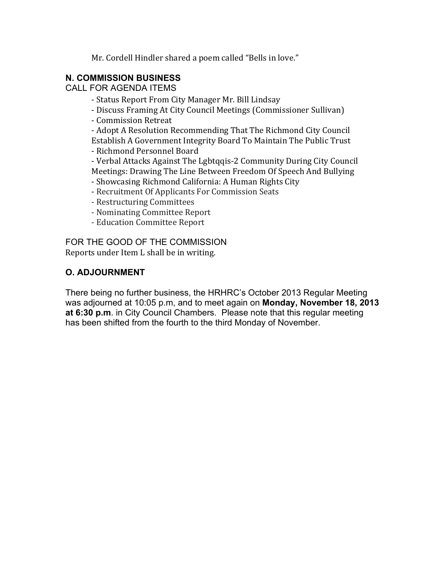Mr. Cordell Hindler shared a poem called "Bells in love."

### **N. COMMISSION BUSINESS**

CALL FOR AGENDA ITEMS

- Status Report From City Manager Mr. Bill Lindsay
- Discuss Framing At City Council Meetings (Commissioner Sullivan)
- Commission Retreat

- Adopt A Resolution Recommending That The Richmond City Council Establish A Government Integrity Board To Maintain The Public Trust

- Richmond Personnel Board

- Verbal Attacks Against The Lgbtqqis-2 Community During City Council Meetings: Drawing The Line Between Freedom Of Speech And Bullying

- Showcasing Richmond California: A Human Rights City
- Recruitment Of Applicants For Commission Seats
- Restructuring Committees
- Nominating Committee Report
- Education Committee Report

FOR THE GOOD OF THE COMMISSION Reports under Item L shall be in writing.

# **O. ADJOURNMENT**

There being no further business, the HRHRC's October 2013 Regular Meeting was adjourned at 10:05 p.m, and to meet again on **Monday, November 18, 2013 at 6:30 p.m**. in City Council Chambers. Please note that this regular meeting has been shifted from the fourth to the third Monday of November.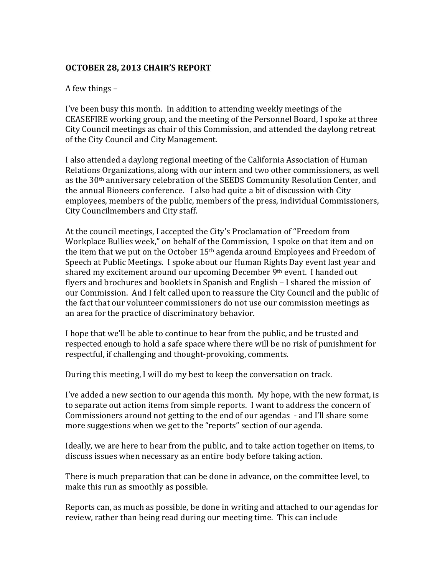### **OCTOBER 28, 2013 CHAIR'S REPORT**

#### A few things  $-$

I've been busy this month. In addition to attending weekly meetings of the CEASEFIRE working group, and the meeting of the Personnel Board, I spoke at three City Council meetings as chair of this Commission, and attended the daylong retreat of the City Council and City Management.

I also attended a daylong regional meeting of the California Association of Human Relations Organizations, along with our intern and two other commissioners, as well as the 30<sup>th</sup> anniversary celebration of the SEEDS Community Resolution Center, and the annual Bioneers conference. I also had quite a bit of discussion with City employees, members of the public, members of the press, individual Commissioners, City Councilmembers and City staff.

At the council meetings, I accepted the City's Proclamation of "Freedom from Workplace Bullies week," on behalf of the Commission, I spoke on that item and on the item that we put on the October  $15<sup>th</sup>$  agenda around Employees and Freedom of Speech at Public Meetings. I spoke about our Human Rights Day event last year and shared my excitement around our upcoming December 9<sup>th</sup> event. I handed out flyers and brochures and booklets in Spanish and English – I shared the mission of our Commission. And I felt called upon to reassure the City Council and the public of the fact that our volunteer commissioners do not use our commission meetings as an area for the practice of discriminatory behavior.

I hope that we'll be able to continue to hear from the public, and be trusted and respected enough to hold a safe space where there will be no risk of punishment for respectful, if challenging and thought-provoking, comments.

During this meeting, I will do my best to keep the conversation on track.

I've added a new section to our agenda this month. My hope, with the new format, is to separate out action items from simple reports. I want to address the concern of Commissioners around not getting to the end of our agendas - and I'll share some more suggestions when we get to the "reports" section of our agenda.

Ideally, we are here to hear from the public, and to take action together on items, to discuss issues when necessary as an entire body before taking action.

There is much preparation that can be done in advance, on the committee level, to make this run as smoothly as possible.

Reports can, as much as possible, be done in writing and attached to our agendas for review, rather than being read during our meeting time. This can include